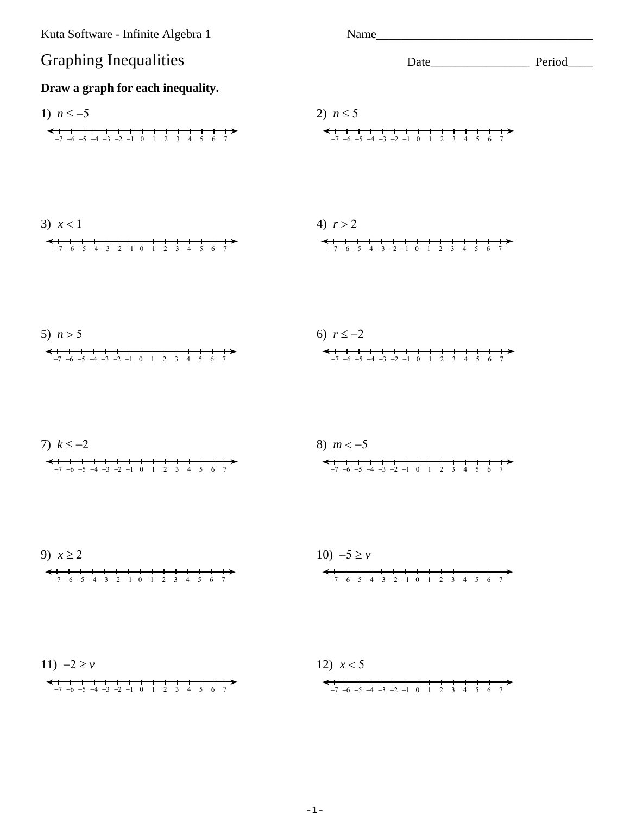



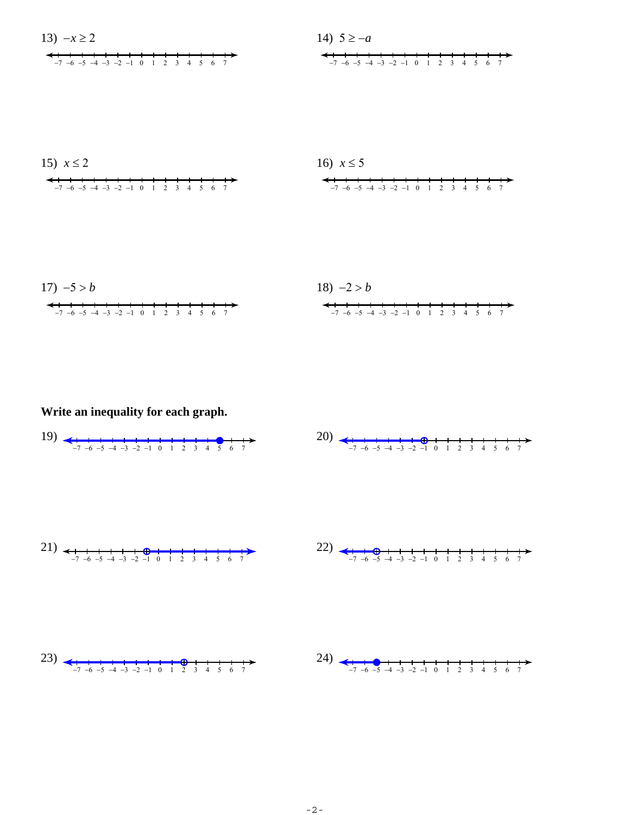





Write an inequality for each graph.

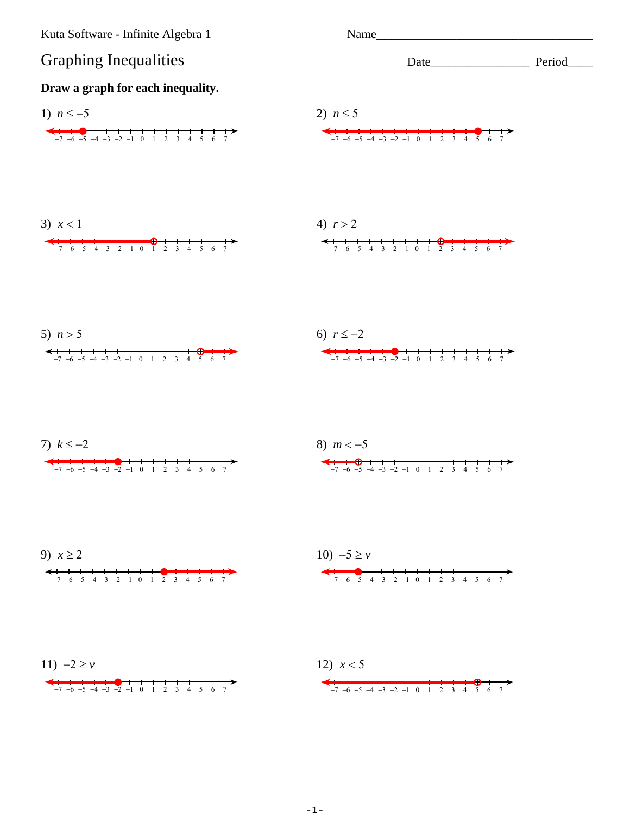